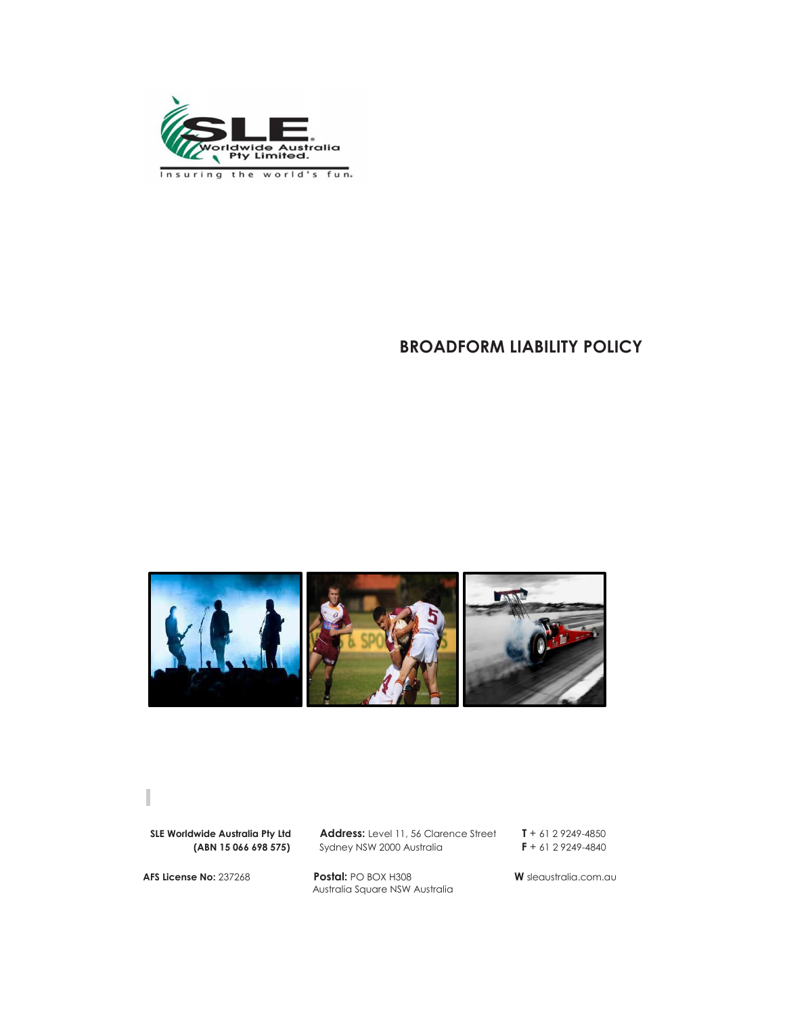

Insuring the world's fun.

# **BROADFORM LIABILITY POLICY**



**SLE Worldwide Australia Pty Ltd Address:** Level 11, 56 Clarence Street **T** + 61 2 9249-4850 **(ABN 15 066 698 575)** Sydney NSW 2000 Australia **F** + 61 2 9249-4840

**Sydney NSW 2000 Australia** 

**AFS License No:** 237268 **Postal:** PO BOX H308 **W** sleaustralia.com.au Australia Square NSW Australia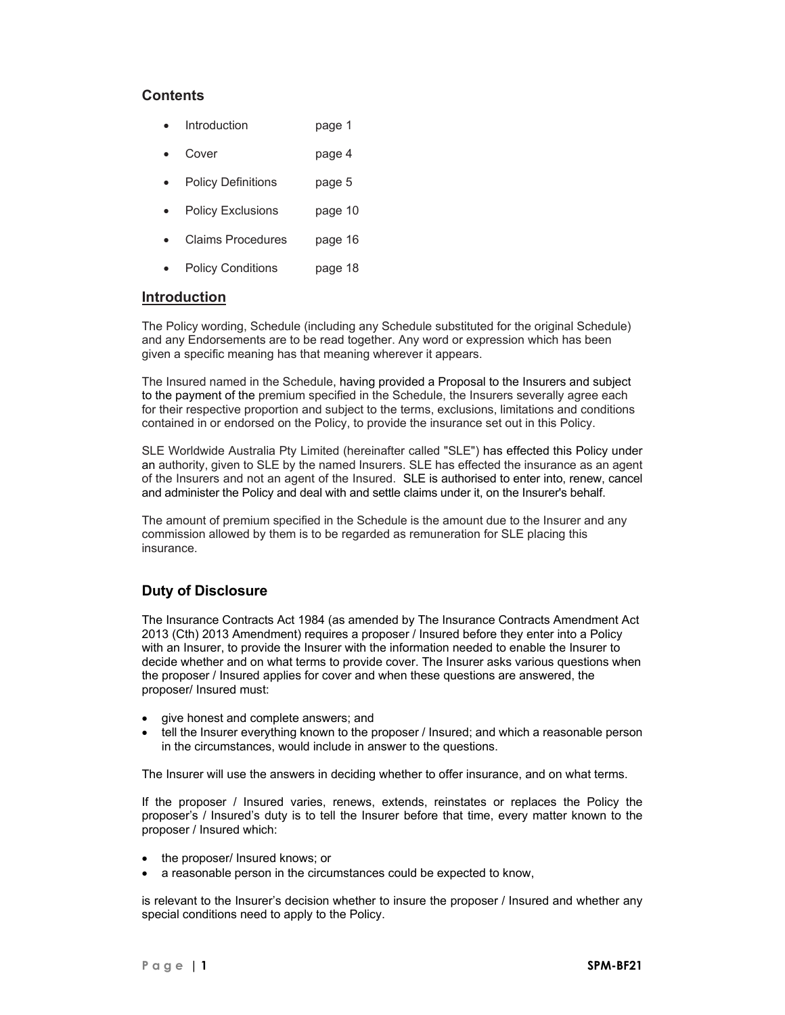# **Contents**

- Introduction page 1
- Cover page 4
- Policy Definitions page 5
- Policy Exclusions page 10
- Claims Procedures page 16
- Policy Conditions page 18

# **Introduction**

The Policy wording, Schedule (including any Schedule substituted for the original Schedule) and any Endorsements are to be read together. Any word or expression which has been given a specific meaning has that meaning wherever it appears.

The Insured named in the Schedule, having provided a Proposal to the Insurers and subject to the payment of the premium specified in the Schedule, the Insurers severally agree each for their respective proportion and subject to the terms, exclusions, limitations and conditions contained in or endorsed on the Policy, to provide the insurance set out in this Policy.

SLE Worldwide Australia Pty Limited (hereinafter called "SLE") has effected this Policy under an authority, given to SLE by the named Insurers. SLE has effected the insurance as an agent of the Insurers and not an agent of the Insured. SLE is authorised to enter into, renew, cancel and administer the Policy and deal with and settle claims under it, on the Insurer's behalf.

The amount of premium specified in the Schedule is the amount due to the Insurer and any commission allowed by them is to be regarded as remuneration for SLE placing this insurance.

# **Duty of Disclosure**

The Insurance Contracts Act 1984 (as amended by The Insurance Contracts Amendment Act 2013 (Cth) 2013 Amendment) requires a proposer / Insured before they enter into a Policy with an Insurer, to provide the Insurer with the information needed to enable the Insurer to decide whether and on what terms to provide cover. The Insurer asks various questions when the proposer / Insured applies for cover and when these questions are answered, the proposer/ Insured must:

- give honest and complete answers; and
- tell the Insurer everything known to the proposer / Insured; and which a reasonable person in the circumstances, would include in answer to the questions.

The Insurer will use the answers in deciding whether to offer insurance, and on what terms.

If the proposer / Insured varies, renews, extends, reinstates or replaces the Policy the proposer's / Insured's duty is to tell the Insurer before that time, every matter known to the proposer / Insured which:

- the proposer/ Insured knows; or
- a reasonable person in the circumstances could be expected to know,

is relevant to the Insurer's decision whether to insure the proposer / Insured and whether any special conditions need to apply to the Policy.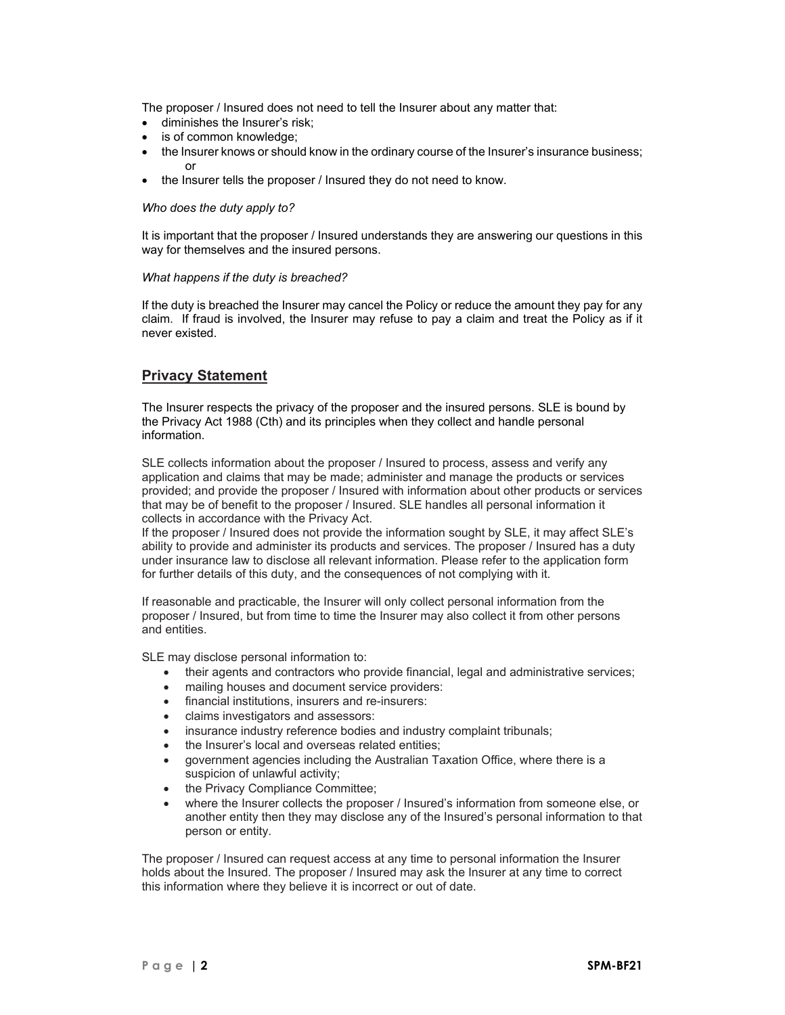The proposer / Insured does not need to tell the Insurer about any matter that:

- diminishes the Insurer's risk;
- is of common knowledge;
- the Insurer knows or should know in the ordinary course of the Insurer's insurance business; or
- the Insurer tells the proposer / Insured they do not need to know.

#### *Who does the duty apply to?*

It is important that the proposer / Insured understands they are answering our questions in this way for themselves and the insured persons.

#### *What happens if the duty is breached?*

If the duty is breached the Insurer may cancel the Policy or reduce the amount they pay for any claim. If fraud is involved, the Insurer may refuse to pay a claim and treat the Policy as if it never existed.

# **Privacy Statement**

The Insurer respects the privacy of the proposer and the insured persons. SLE is bound by the Privacy Act 1988 (Cth) and its principles when they collect and handle personal information.

SLE collects information about the proposer / Insured to process, assess and verify any application and claims that may be made; administer and manage the products or services provided; and provide the proposer / Insured with information about other products or services that may be of benefit to the proposer / Insured. SLE handles all personal information it collects in accordance with the Privacy Act.

If the proposer / Insured does not provide the information sought by SLE, it may affect SLE's ability to provide and administer its products and services. The proposer / Insured has a duty under insurance law to disclose all relevant information. Please refer to the application form for further details of this duty, and the consequences of not complying with it.

If reasonable and practicable, the Insurer will only collect personal information from the proposer / Insured, but from time to time the Insurer may also collect it from other persons and entities.

SLE may disclose personal information to:

- their agents and contractors who provide financial, legal and administrative services;
- mailing houses and document service providers:
- financial institutions, insurers and re-insurers:
- claims investigators and assessors:
- insurance industry reference bodies and industry complaint tribunals;
- the Insurer's local and overseas related entities;
- government agencies including the Australian Taxation Office, where there is a suspicion of unlawful activity;
- the Privacy Compliance Committee;
- where the Insurer collects the proposer / Insured's information from someone else, or another entity then they may disclose any of the Insured's personal information to that person or entity.

The proposer / Insured can request access at any time to personal information the Insurer holds about the Insured. The proposer / Insured may ask the Insurer at any time to correct this information where they believe it is incorrect or out of date.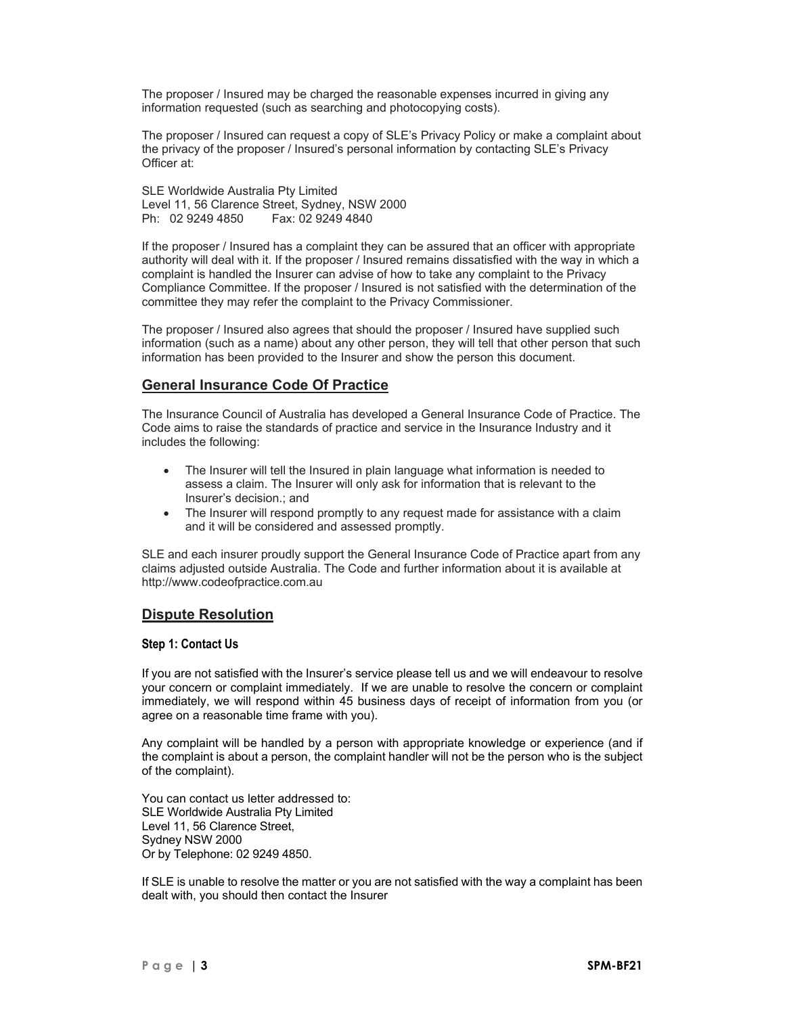The proposer / Insured may be charged the reasonable expenses incurred in giving any information requested (such as searching and photocopying costs).

The proposer / Insured can request a copy of SLE's Privacy Policy or make a complaint about the privacy of the proposer / Insured's personal information by contacting SLE's Privacy Officer at:

SLE Worldwide Australia Pty Limited Level 11, 56 Clarence Street, Sydney, NSW 2000 Ph: 02 9249 4850 Fax: 02 9249 4840

If the proposer / Insured has a complaint they can be assured that an officer with appropriate authority will deal with it. If the proposer / Insured remains dissatisfied with the way in which a complaint is handled the Insurer can advise of how to take any complaint to the Privacy Compliance Committee. If the proposer / Insured is not satisfied with the determination of the committee they may refer the complaint to the Privacy Commissioner.

The proposer / Insured also agrees that should the proposer / Insured have supplied such information (such as a name) about any other person, they will tell that other person that such information has been provided to the Insurer and show the person this document.

# **General Insurance Code Of Practice**

The Insurance Council of Australia has developed a General Insurance Code of Practice. The Code aims to raise the standards of practice and service in the Insurance Industry and it includes the following:

- The Insurer will tell the Insured in plain language what information is needed to assess a claim. The Insurer will only ask for information that is relevant to the Insurer's decision.; and
- The Insurer will respond promptly to any request made for assistance with a claim and it will be considered and assessed promptly.

SLE and each insurer proudly support the General Insurance Code of Practice apart from any claims adjusted outside Australia. The Code and further information about it is available at http://www.codeofpractice.com.au

# **Dispute Resolution**

### **Step 1: Contact Us**

If you are not satisfied with the Insurer's service please tell us and we will endeavour to resolve your concern or complaint immediately. If we are unable to resolve the concern or complaint immediately, we will respond within 45 business days of receipt of information from you (or agree on a reasonable time frame with you).

Any complaint will be handled by a person with appropriate knowledge or experience (and if the complaint is about a person, the complaint handler will not be the person who is the subject of the complaint).

You can contact us letter addressed to: SLE Worldwide Australia Pty Limited Level 11, 56 Clarence Street, Sydney NSW 2000 Or by Telephone: 02 9249 4850.

If SLE is unable to resolve the matter or you are not satisfied with the way a complaint has been dealt with, you should then contact the Insurer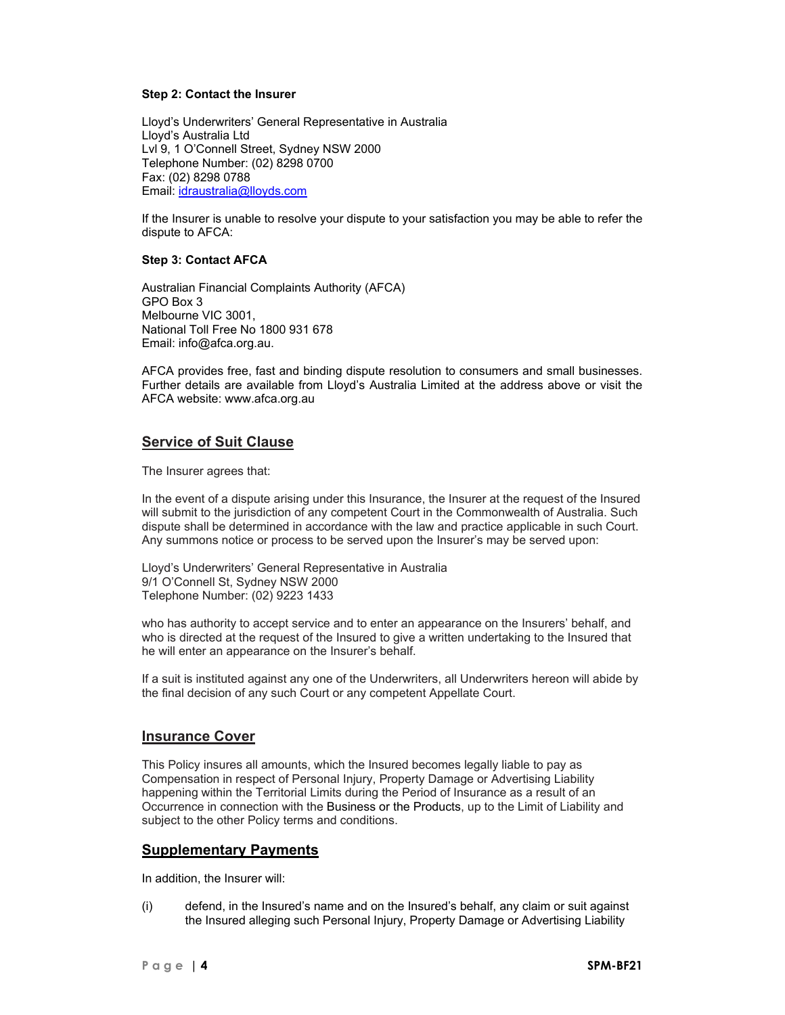### **Step 2: Contact the Insurer**

Lloyd's Underwriters' General Representative in Australia Lloyd's Australia Ltd Lvl 9, 1 O'Connell Street, Sydney NSW 2000 Telephone Number: (02) 8298 0700 Fax: (02) 8298 0788 Email: idraustralia@lloyds.com

If the Insurer is unable to resolve your dispute to your satisfaction you may be able to refer the dispute to AFCA:

### **Step 3: Contact AFCA**

Australian Financial Complaints Authority (AFCA) GPO Box 3 Melbourne VIC 3001, National Toll Free No 1800 931 678 Email: info@afca.org.au.

AFCA provides free, fast and binding dispute resolution to consumers and small businesses. Further details are available from Lloyd's Australia Limited at the address above or visit the AFCA website: www.afca.org.au

# **Service of Suit Clause**

The Insurer agrees that:

In the event of a dispute arising under this Insurance, the Insurer at the request of the Insured will submit to the jurisdiction of any competent Court in the Commonwealth of Australia. Such dispute shall be determined in accordance with the law and practice applicable in such Court. Any summons notice or process to be served upon the Insurer's may be served upon:

Lloyd's Underwriters' General Representative in Australia 9/1 O'Connell St, Sydney NSW 2000 Telephone Number: (02) 9223 1433

who has authority to accept service and to enter an appearance on the Insurers' behalf, and who is directed at the request of the Insured to give a written undertaking to the Insured that he will enter an appearance on the Insurer's behalf.

If a suit is instituted against any one of the Underwriters, all Underwriters hereon will abide by the final decision of any such Court or any competent Appellate Court.

# **Insurance Cover**

This Policy insures all amounts, which the Insured becomes legally liable to pay as Compensation in respect of Personal Injury, Property Damage or Advertising Liability happening within the Territorial Limits during the Period of Insurance as a result of an Occurrence in connection with the Business or the Products, up to the Limit of Liability and subject to the other Policy terms and conditions.

# **Supplementary Payments**

In addition, the Insurer will:

(i) defend, in the Insured's name and on the Insured's behalf, any claim or suit against the Insured alleging such Personal Injury, Property Damage or Advertising Liability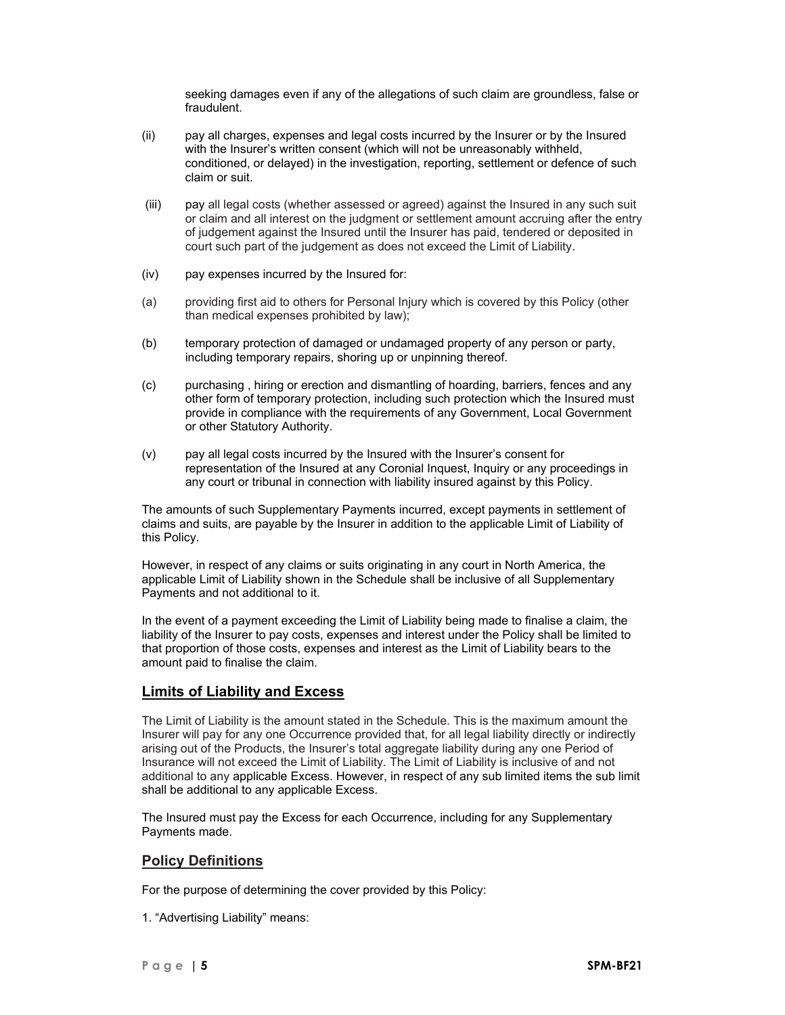seeking damages even if any of the allegations of such claim are groundless, false or fraudulent.

- (ii) pay all charges, expenses and legal costs incurred by the Insurer or by the Insured with the Insurer's written consent (which will not be unreasonably withheld, conditioned, or delayed) in the investigation, reporting, settlement or defence of such claim or suit.
- (iii) pay all legal costs (whether assessed or agreed) against the Insured in any such suit or claim and all interest on the judgment or settlement amount accruing after the entry of judgement against the Insured until the Insurer has paid, tendered or deposited in court such part of the judgement as does not exceed the Limit of Liability.
- (iv) pay expenses incurred by the Insured for:
- (a) providing first aid to others for Personal Injury which is covered by this Policy (other than medical expenses prohibited by law);
- (b) temporary protection of damaged or undamaged property of any person or party, including temporary repairs, shoring up or unpinning thereof.
- (c) purchasing , hiring or erection and dismantling of hoarding, barriers, fences and any other form of temporary protection, including such protection which the Insured must provide in compliance with the requirements of any Government, Local Government or other Statutory Authority.
- (v) pay all legal costs incurred by the Insured with the Insurer's consent for representation of the Insured at any Coronial Inquest, Inquiry or any proceedings in any court or tribunal in connection with liability insured against by this Policy.

The amounts of such Supplementary Payments incurred, except payments in settlement of claims and suits, are payable by the Insurer in addition to the applicable Limit of Liability of this Policy.

However, in respect of any claims or suits originating in any court in North America, the applicable Limit of Liability shown in the Schedule shall be inclusive of all Supplementary Payments and not additional to it.

In the event of a payment exceeding the Limit of Liability being made to finalise a claim, the liability of the Insurer to pay costs, expenses and interest under the Policy shall be limited to that proportion of those costs, expenses and interest as the Limit of Liability bears to the amount paid to finalise the claim.

# **Limits of Liability and Excess**

The Limit of Liability is the amount stated in the Schedule. This is the maximum amount the Insurer will pay for any one Occurrence provided that, for all legal liability directly or indirectly arising out of the Products, the Insurer's total aggregate liability during any one Period of Insurance will not exceed the Limit of Liability. The Limit of Liability is inclusive of and not additional to any applicable Excess. However, in respect of any sub limited items the sub limit shall be additional to any applicable Excess.

The Insured must pay the Excess for each Occurrence, including for any Supplementary Payments made.

# **Policy Definitions**

For the purpose of determining the cover provided by this Policy:

1. "Advertising Liability" means: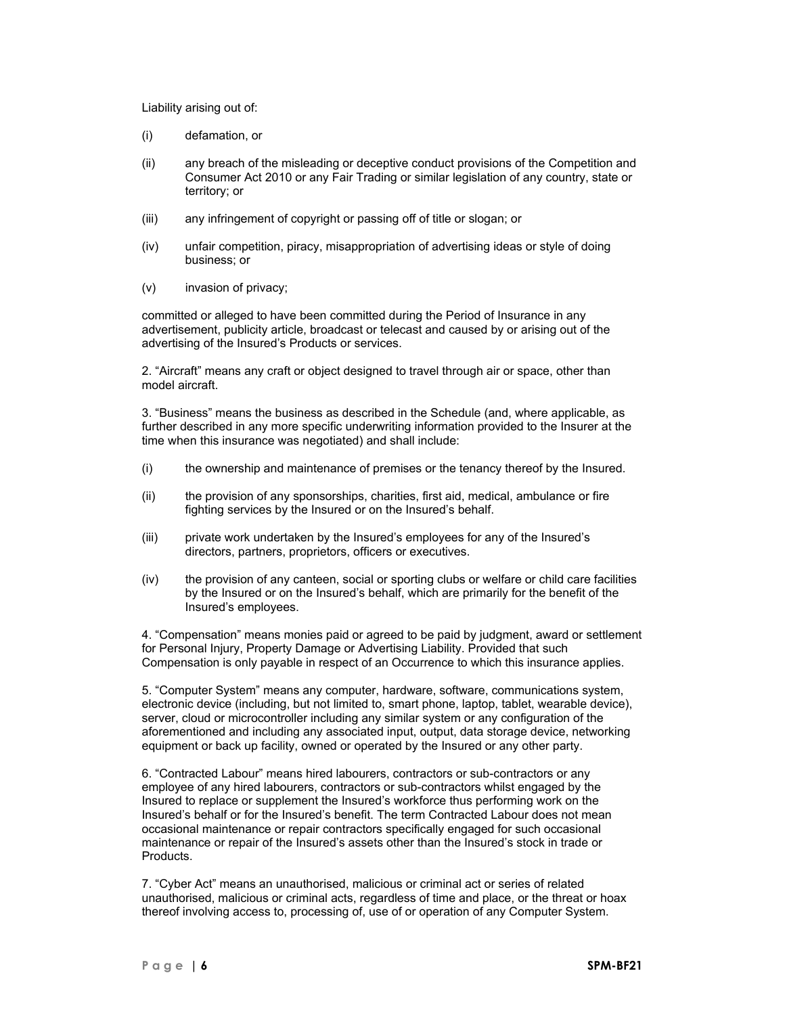Liability arising out of:

- (i) defamation, or
- (ii) any breach of the misleading or deceptive conduct provisions of the Competition and Consumer Act 2010 or any Fair Trading or similar legislation of any country, state or territory; or
- (iii) any infringement of copyright or passing off of title or slogan; or
- (iv) unfair competition, piracy, misappropriation of advertising ideas or style of doing business; or
- (v) invasion of privacy;

committed or alleged to have been committed during the Period of Insurance in any advertisement, publicity article, broadcast or telecast and caused by or arising out of the advertising of the Insured's Products or services.

2. "Aircraft" means any craft or object designed to travel through air or space, other than model aircraft.

3. "Business" means the business as described in the Schedule (and, where applicable, as further described in any more specific underwriting information provided to the Insurer at the time when this insurance was negotiated) and shall include:

- (i) the ownership and maintenance of premises or the tenancy thereof by the Insured.
- (ii) the provision of any sponsorships, charities, first aid, medical, ambulance or fire fighting services by the Insured or on the Insured's behalf.
- (iii) private work undertaken by the Insured's employees for any of the Insured's directors, partners, proprietors, officers or executives.
- (iv) the provision of any canteen, social or sporting clubs or welfare or child care facilities by the Insured or on the Insured's behalf, which are primarily for the benefit of the Insured's employees.

4. "Compensation" means monies paid or agreed to be paid by judgment, award or settlement for Personal Injury, Property Damage or Advertising Liability. Provided that such Compensation is only payable in respect of an Occurrence to which this insurance applies.

5. "Computer System" means any computer, hardware, software, communications system, electronic device (including, but not limited to, smart phone, laptop, tablet, wearable device), server, cloud or microcontroller including any similar system or any configuration of the aforementioned and including any associated input, output, data storage device, networking equipment or back up facility, owned or operated by the Insured or any other party.

6. "Contracted Labour" means hired labourers, contractors or sub-contractors or any employee of any hired labourers, contractors or sub-contractors whilst engaged by the Insured to replace or supplement the Insured's workforce thus performing work on the Insured's behalf or for the Insured's benefit. The term Contracted Labour does not mean occasional maintenance or repair contractors specifically engaged for such occasional maintenance or repair of the Insured's assets other than the Insured's stock in trade or Products.

7. "Cyber Act" means an unauthorised, malicious or criminal act or series of related unauthorised, malicious or criminal acts, regardless of time and place, or the threat or hoax thereof involving access to, processing of, use of or operation of any Computer System.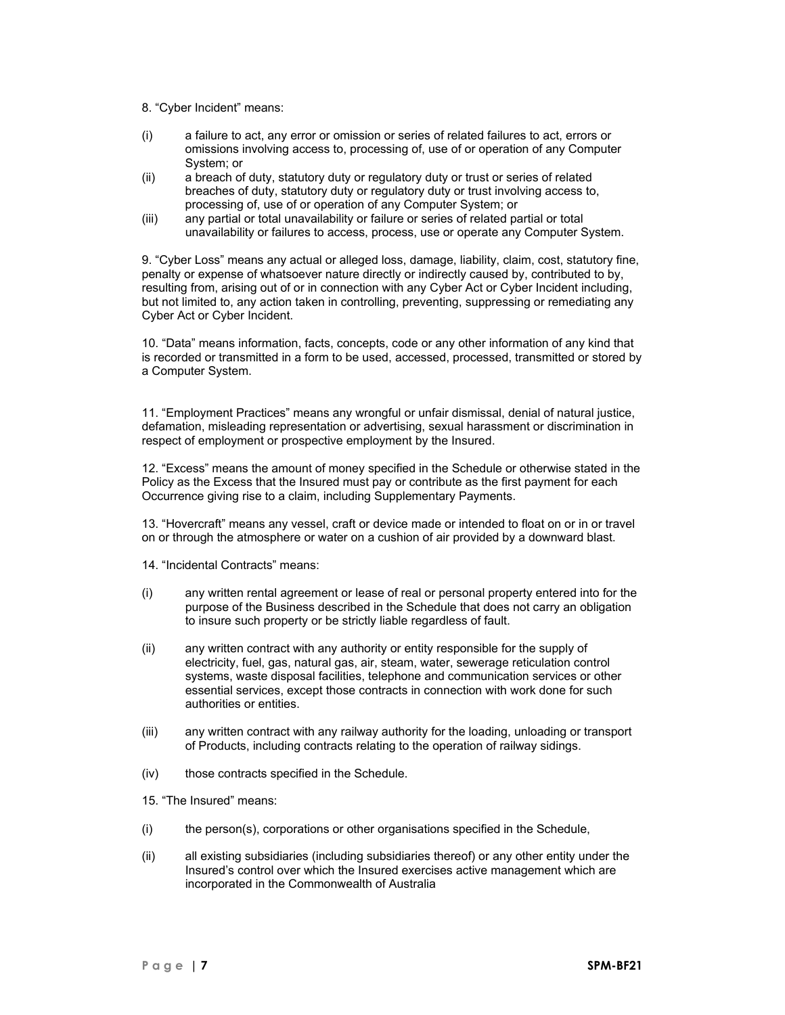- 8. "Cyber Incident" means:
- (i) a failure to act, any error or omission or series of related failures to act, errors or omissions involving access to, processing of, use of or operation of any Computer System; or
- (ii) a breach of duty, statutory duty or regulatory duty or trust or series of related breaches of duty, statutory duty or regulatory duty or trust involving access to, processing of, use of or operation of any Computer System; or
- (iii) any partial or total unavailability or failure or series of related partial or total unavailability or failures to access, process, use or operate any Computer System.

9. "Cyber Loss" means any actual or alleged loss, damage, liability, claim, cost, statutory fine, penalty or expense of whatsoever nature directly or indirectly caused by, contributed to by, resulting from, arising out of or in connection with any Cyber Act or Cyber Incident including, but not limited to, any action taken in controlling, preventing, suppressing or remediating any Cyber Act or Cyber Incident.

10. "Data" means information, facts, concepts, code or any other information of any kind that is recorded or transmitted in a form to be used, accessed, processed, transmitted or stored by a Computer System.

11. "Employment Practices" means any wrongful or unfair dismissal, denial of natural justice, defamation, misleading representation or advertising, sexual harassment or discrimination in respect of employment or prospective employment by the Insured.

12. "Excess" means the amount of money specified in the Schedule or otherwise stated in the Policy as the Excess that the Insured must pay or contribute as the first payment for each Occurrence giving rise to a claim, including Supplementary Payments.

13. "Hovercraft" means any vessel, craft or device made or intended to float on or in or travel on or through the atmosphere or water on a cushion of air provided by a downward blast.

- 14. "Incidental Contracts" means:
- (i) any written rental agreement or lease of real or personal property entered into for the purpose of the Business described in the Schedule that does not carry an obligation to insure such property or be strictly liable regardless of fault.
- (ii) any written contract with any authority or entity responsible for the supply of electricity, fuel, gas, natural gas, air, steam, water, sewerage reticulation control systems, waste disposal facilities, telephone and communication services or other essential services, except those contracts in connection with work done for such authorities or entities.
- (iii) any written contract with any railway authority for the loading, unloading or transport of Products, including contracts relating to the operation of railway sidings.
- (iv) those contracts specified in the Schedule.
- 15. "The Insured" means:
- (i) the person(s), corporations or other organisations specified in the Schedule,
- (ii) all existing subsidiaries (including subsidiaries thereof) or any other entity under the Insured's control over which the Insured exercises active management which are incorporated in the Commonwealth of Australia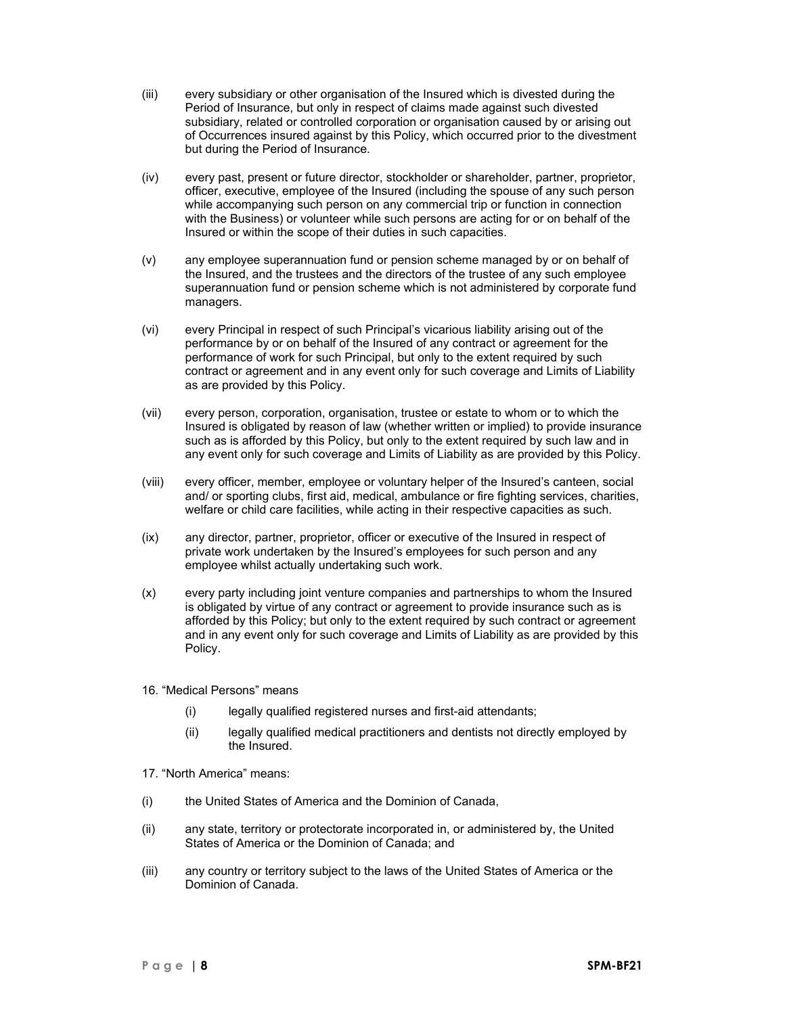- (iii) every subsidiary or other organisation of the Insured which is divested during the Period of Insurance, but only in respect of claims made against such divested subsidiary, related or controlled corporation or organisation caused by or arising out of Occurrences insured against by this Policy, which occurred prior to the divestment but during the Period of Insurance.
- (iv) every past, present or future director, stockholder or shareholder, partner, proprietor, officer, executive, employee of the Insured (including the spouse of any such person while accompanying such person on any commercial trip or function in connection with the Business) or volunteer while such persons are acting for or on behalf of the Insured or within the scope of their duties in such capacities.
- (v) any employee superannuation fund or pension scheme managed by or on behalf of the Insured, and the trustees and the directors of the trustee of any such employee superannuation fund or pension scheme which is not administered by corporate fund managers.
- (vi) every Principal in respect of such Principal's vicarious liability arising out of the performance by or on behalf of the Insured of any contract or agreement for the performance of work for such Principal, but only to the extent required by such contract or agreement and in any event only for such coverage and Limits of Liability as are provided by this Policy.
- (vii) every person, corporation, organisation, trustee or estate to whom or to which the Insured is obligated by reason of law (whether written or implied) to provide insurance such as is afforded by this Policy, but only to the extent required by such law and in any event only for such coverage and Limits of Liability as are provided by this Policy.
- (viii) every officer, member, employee or voluntary helper of the Insured's canteen, social and/ or sporting clubs, first aid, medical, ambulance or fire fighting services, charities, welfare or child care facilities, while acting in their respective capacities as such.
- (ix) any director, partner, proprietor, officer or executive of the Insured in respect of private work undertaken by the Insured's employees for such person and any employee whilst actually undertaking such work.
- (x) every party including joint venture companies and partnerships to whom the Insured is obligated by virtue of any contract or agreement to provide insurance such as is afforded by this Policy; but only to the extent required by such contract or agreement and in any event only for such coverage and Limits of Liability as are provided by this Policy.
- 16. "Medical Persons" means
	- (i) legally qualified registered nurses and first-aid attendants;
	- (ii) legally qualified medical practitioners and dentists not directly employed by the Insured.
- 17. "North America" means:
- (i) the United States of America and the Dominion of Canada,
- (ii) any state, territory or protectorate incorporated in, or administered by, the United States of America or the Dominion of Canada; and
- (iii) any country or territory subject to the laws of the United States of America or the Dominion of Canada.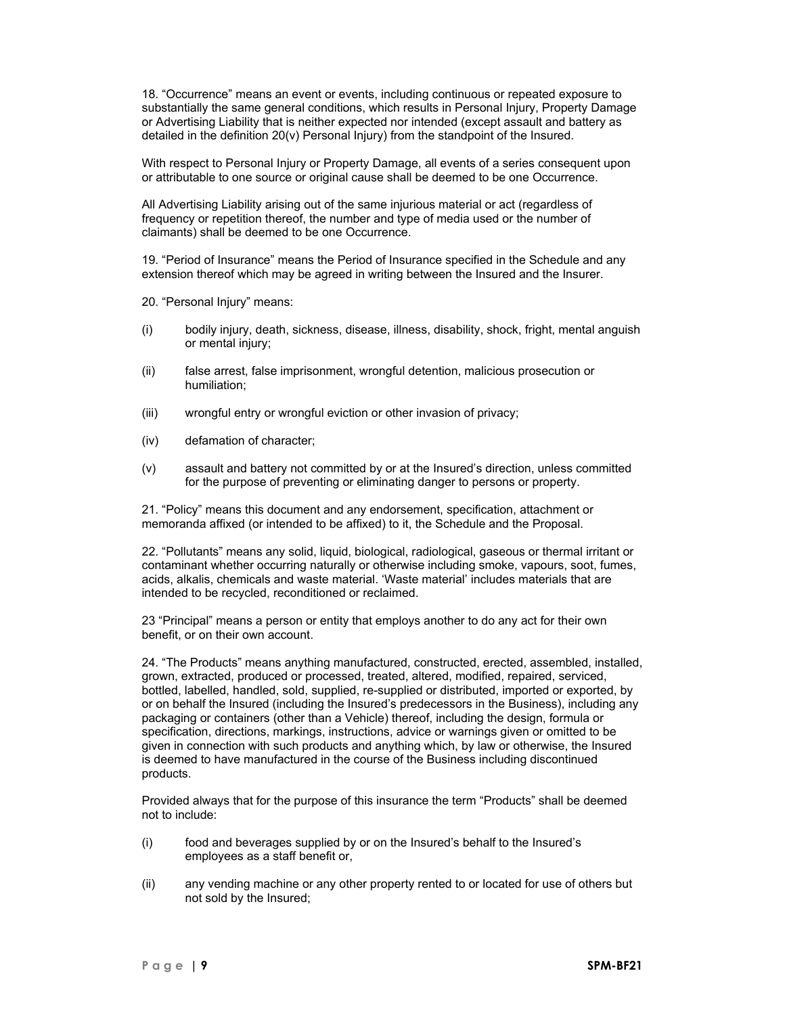18. "Occurrence" means an event or events, including continuous or repeated exposure to substantially the same general conditions, which results in Personal Injury, Property Damage or Advertising Liability that is neither expected nor intended (except assault and battery as detailed in the definition 20(v) Personal Injury) from the standpoint of the Insured.

With respect to Personal Injury or Property Damage, all events of a series consequent upon or attributable to one source or original cause shall be deemed to be one Occurrence.

All Advertising Liability arising out of the same injurious material or act (regardless of frequency or repetition thereof, the number and type of media used or the number of claimants) shall be deemed to be one Occurrence.

19. "Period of Insurance" means the Period of Insurance specified in the Schedule and any extension thereof which may be agreed in writing between the Insured and the Insurer.

20. "Personal Injury" means:

- (i) bodily injury, death, sickness, disease, illness, disability, shock, fright, mental anguish or mental injury;
- (ii) false arrest, false imprisonment, wrongful detention, malicious prosecution or humiliation;
- (iii) wrongful entry or wrongful eviction or other invasion of privacy;
- (iv) defamation of character;
- (v) assault and battery not committed by or at the Insured's direction, unless committed for the purpose of preventing or eliminating danger to persons or property.

21. "Policy" means this document and any endorsement, specification, attachment or memoranda affixed (or intended to be affixed) to it, the Schedule and the Proposal.

22. "Pollutants" means any solid, liquid, biological, radiological, gaseous or thermal irritant or contaminant whether occurring naturally or otherwise including smoke, vapours, soot, fumes, acids, alkalis, chemicals and waste material. 'Waste material' includes materials that are intended to be recycled, reconditioned or reclaimed.

23 "Principal" means a person or entity that employs another to do any act for their own benefit, or on their own account.

24. "The Products" means anything manufactured, constructed, erected, assembled, installed, grown, extracted, produced or processed, treated, altered, modified, repaired, serviced, bottled, labelled, handled, sold, supplied, re-supplied or distributed, imported or exported, by or on behalf the Insured (including the Insured's predecessors in the Business), including any packaging or containers (other than a Vehicle) thereof, including the design, formula or specification, directions, markings, instructions, advice or warnings given or omitted to be given in connection with such products and anything which, by law or otherwise, the Insured is deemed to have manufactured in the course of the Business including discontinued products.

Provided always that for the purpose of this insurance the term "Products" shall be deemed not to include:

- (i) food and beverages supplied by or on the Insured's behalf to the Insured's employees as a staff benefit or,
- (ii) any vending machine or any other property rented to or located for use of others but not sold by the Insured;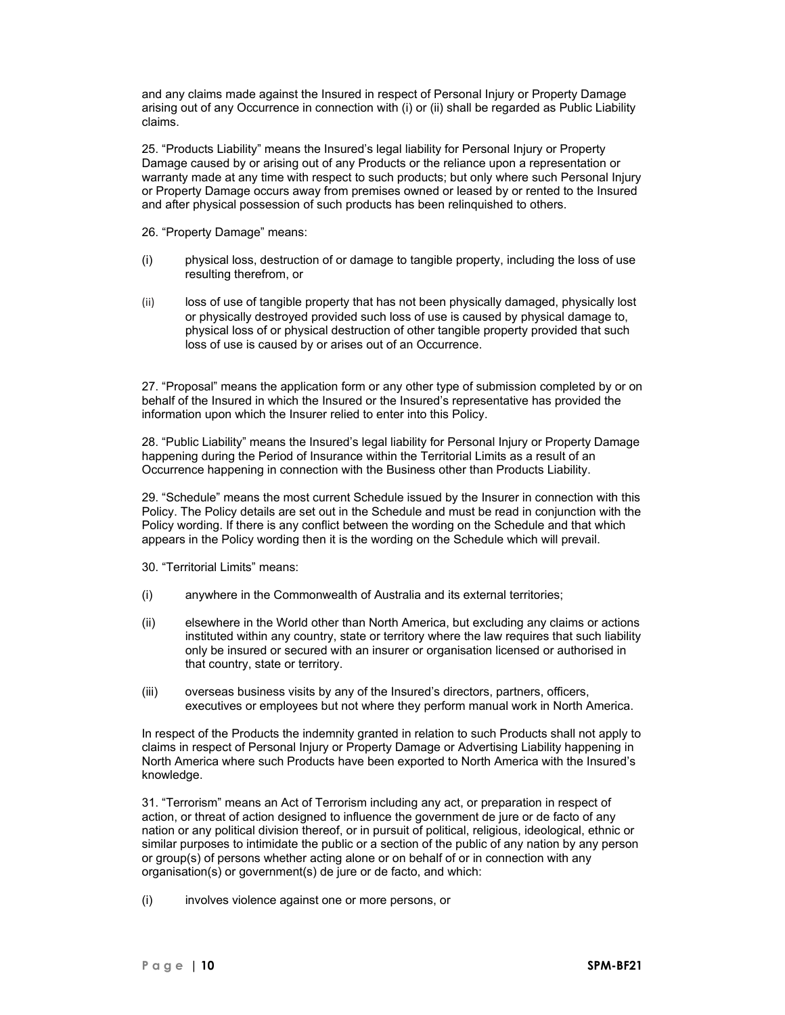and any claims made against the Insured in respect of Personal Injury or Property Damage arising out of any Occurrence in connection with (i) or (ii) shall be regarded as Public Liability claims.

25. "Products Liability" means the Insured's legal liability for Personal Injury or Property Damage caused by or arising out of any Products or the reliance upon a representation or warranty made at any time with respect to such products; but only where such Personal Injury or Property Damage occurs away from premises owned or leased by or rented to the Insured and after physical possession of such products has been relinquished to others.

- 26. "Property Damage" means:
- (i) physical loss, destruction of or damage to tangible property, including the loss of use resulting therefrom, or
- (ii) loss of use of tangible property that has not been physically damaged, physically lost or physically destroyed provided such loss of use is caused by physical damage to, physical loss of or physical destruction of other tangible property provided that such loss of use is caused by or arises out of an Occurrence.

27. "Proposal" means the application form or any other type of submission completed by or on behalf of the Insured in which the Insured or the Insured's representative has provided the information upon which the Insurer relied to enter into this Policy.

28. "Public Liability" means the Insured's legal liability for Personal Injury or Property Damage happening during the Period of Insurance within the Territorial Limits as a result of an Occurrence happening in connection with the Business other than Products Liability.

29. "Schedule" means the most current Schedule issued by the Insurer in connection with this Policy. The Policy details are set out in the Schedule and must be read in conjunction with the Policy wording. If there is any conflict between the wording on the Schedule and that which appears in the Policy wording then it is the wording on the Schedule which will prevail.

- 30. "Territorial Limits" means:
- (i) anywhere in the Commonwealth of Australia and its external territories;
- (ii) elsewhere in the World other than North America, but excluding any claims or actions instituted within any country, state or territory where the law requires that such liability only be insured or secured with an insurer or organisation licensed or authorised in that country, state or territory.
- (iii) overseas business visits by any of the Insured's directors, partners, officers, executives or employees but not where they perform manual work in North America.

In respect of the Products the indemnity granted in relation to such Products shall not apply to claims in respect of Personal Injury or Property Damage or Advertising Liability happening in North America where such Products have been exported to North America with the Insured's knowledge.

31. "Terrorism" means an Act of Terrorism including any act, or preparation in respect of action, or threat of action designed to influence the government de jure or de facto of any nation or any political division thereof, or in pursuit of political, religious, ideological, ethnic or similar purposes to intimidate the public or a section of the public of any nation by any person or group(s) of persons whether acting alone or on behalf of or in connection with any organisation(s) or government(s) de jure or de facto, and which:

(i) involves violence against one or more persons, or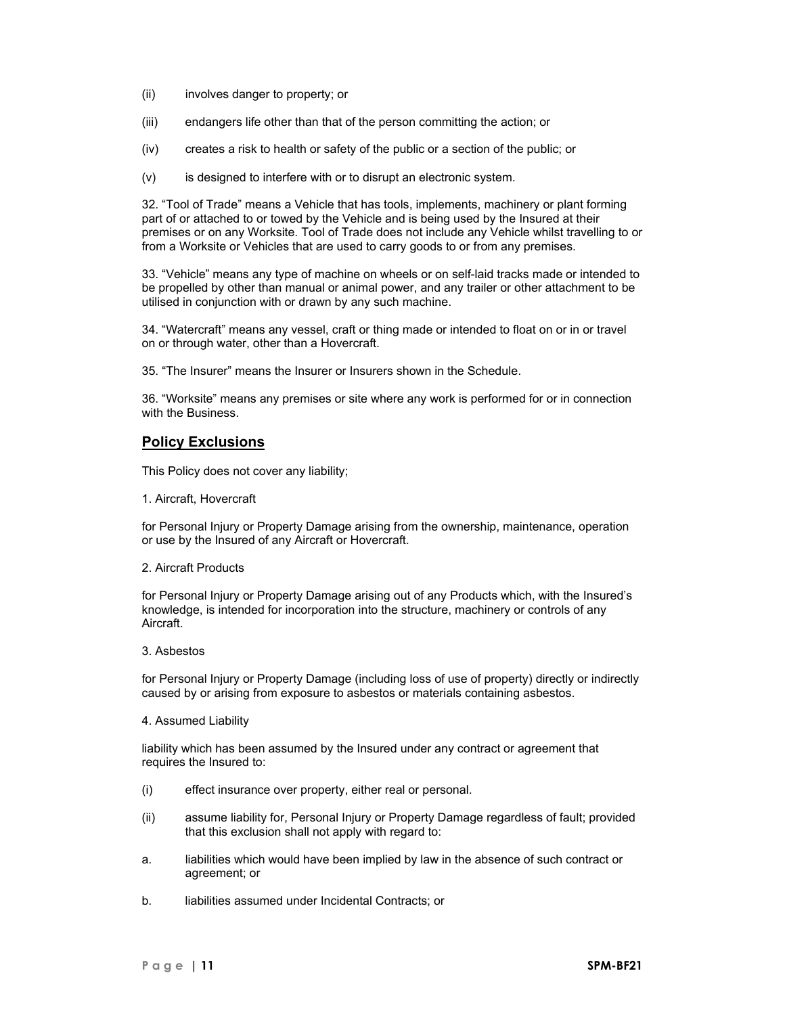- (ii) involves danger to property; or
- (iii) endangers life other than that of the person committing the action; or
- (iv) creates a risk to health or safety of the public or a section of the public; or
- (v) is designed to interfere with or to disrupt an electronic system.

32. "Tool of Trade" means a Vehicle that has tools, implements, machinery or plant forming part of or attached to or towed by the Vehicle and is being used by the Insured at their premises or on any Worksite. Tool of Trade does not include any Vehicle whilst travelling to or from a Worksite or Vehicles that are used to carry goods to or from any premises.

33. "Vehicle" means any type of machine on wheels or on self-laid tracks made or intended to be propelled by other than manual or animal power, and any trailer or other attachment to be utilised in conjunction with or drawn by any such machine.

34. "Watercraft" means any vessel, craft or thing made or intended to float on or in or travel on or through water, other than a Hovercraft.

35. "The Insurer" means the Insurer or Insurers shown in the Schedule.

36. "Worksite" means any premises or site where any work is performed for or in connection with the Business.

# **Policy Exclusions**

This Policy does not cover any liability;

1. Aircraft, Hovercraft

for Personal Injury or Property Damage arising from the ownership, maintenance, operation or use by the Insured of any Aircraft or Hovercraft.

2. Aircraft Products

for Personal Injury or Property Damage arising out of any Products which, with the Insured's knowledge, is intended for incorporation into the structure, machinery or controls of any Aircraft.

3. Asbestos

for Personal Injury or Property Damage (including loss of use of property) directly or indirectly caused by or arising from exposure to asbestos or materials containing asbestos.

4. Assumed Liability

liability which has been assumed by the Insured under any contract or agreement that requires the Insured to:

- (i) effect insurance over property, either real or personal.
- (ii) assume liability for, Personal Injury or Property Damage regardless of fault; provided that this exclusion shall not apply with regard to:
- a. liabilities which would have been implied by law in the absence of such contract or agreement; or
- b. liabilities assumed under Incidental Contracts; or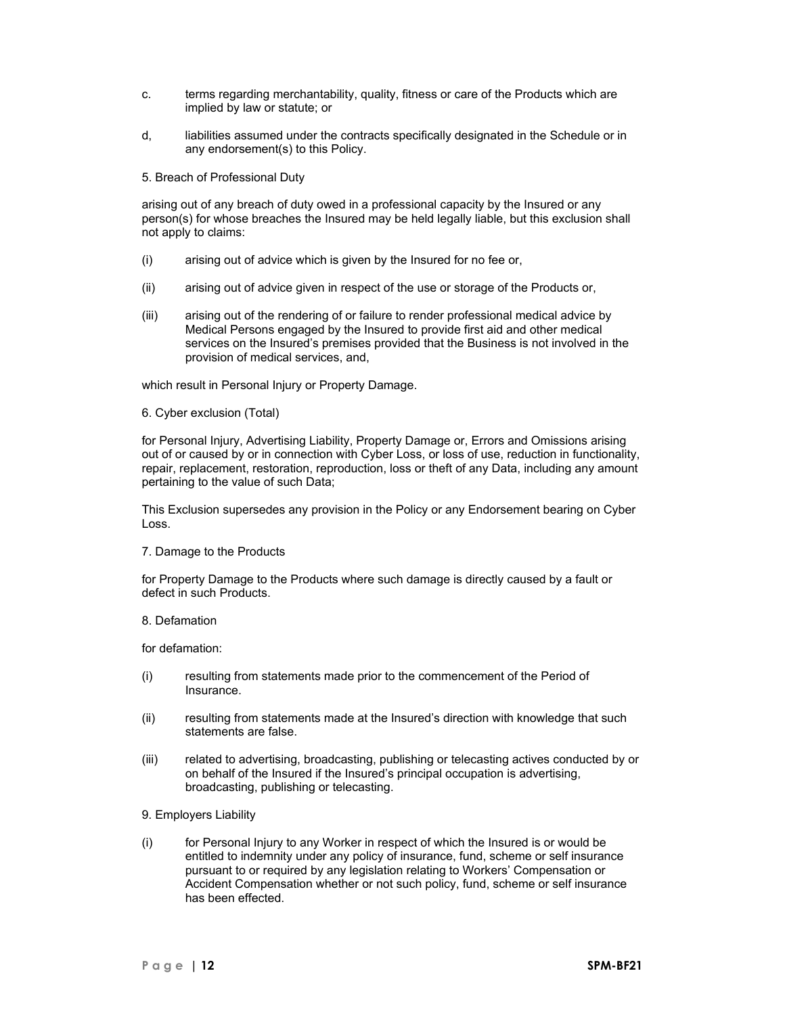- c. terms regarding merchantability, quality, fitness or care of the Products which are implied by law or statute; or
- d, liabilities assumed under the contracts specifically designated in the Schedule or in any endorsement(s) to this Policy.
- 5. Breach of Professional Duty

arising out of any breach of duty owed in a professional capacity by the Insured or any person(s) for whose breaches the Insured may be held legally liable, but this exclusion shall not apply to claims:

- (i) arising out of advice which is given by the Insured for no fee or,
- (ii) arising out of advice given in respect of the use or storage of the Products or,
- (iii) arising out of the rendering of or failure to render professional medical advice by Medical Persons engaged by the Insured to provide first aid and other medical services on the Insured's premises provided that the Business is not involved in the provision of medical services, and,

which result in Personal Injury or Property Damage.

#### 6. Cyber exclusion (Total)

for Personal Injury, Advertising Liability, Property Damage or, Errors and Omissions arising out of or caused by or in connection with Cyber Loss, or loss of use, reduction in functionality, repair, replacement, restoration, reproduction, loss or theft of any Data, including any amount pertaining to the value of such Data;

This Exclusion supersedes any provision in the Policy or any Endorsement bearing on Cyber Loss.

#### 7. Damage to the Products

for Property Damage to the Products where such damage is directly caused by a fault or defect in such Products.

### 8. Defamation

for defamation:

- (i) resulting from statements made prior to the commencement of the Period of Insurance.
- (ii) resulting from statements made at the Insured's direction with knowledge that such statements are false.
- (iii) related to advertising, broadcasting, publishing or telecasting actives conducted by or on behalf of the Insured if the Insured's principal occupation is advertising, broadcasting, publishing or telecasting.
- 9. Employers Liability
- (i) for Personal Injury to any Worker in respect of which the Insured is or would be entitled to indemnity under any policy of insurance, fund, scheme or self insurance pursuant to or required by any legislation relating to Workers' Compensation or Accident Compensation whether or not such policy, fund, scheme or self insurance has been effected.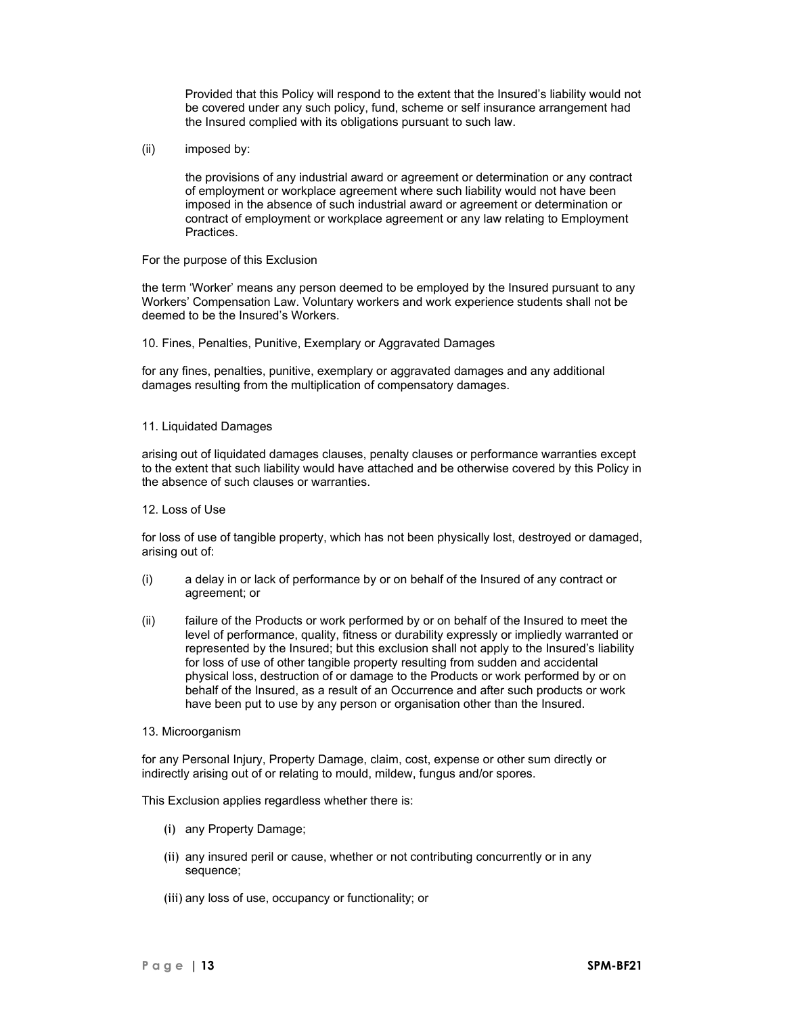Provided that this Policy will respond to the extent that the Insured's liability would not be covered under any such policy, fund, scheme or self insurance arrangement had the Insured complied with its obligations pursuant to such law.

(ii) imposed by:

the provisions of any industrial award or agreement or determination or any contract of employment or workplace agreement where such liability would not have been imposed in the absence of such industrial award or agreement or determination or contract of employment or workplace agreement or any law relating to Employment Practices.

### For the purpose of this Exclusion

the term 'Worker' means any person deemed to be employed by the Insured pursuant to any Workers' Compensation Law. Voluntary workers and work experience students shall not be deemed to be the Insured's Workers.

10. Fines, Penalties, Punitive, Exemplary or Aggravated Damages

for any fines, penalties, punitive, exemplary or aggravated damages and any additional damages resulting from the multiplication of compensatory damages.

### 11. Liquidated Damages

arising out of liquidated damages clauses, penalty clauses or performance warranties except to the extent that such liability would have attached and be otherwise covered by this Policy in the absence of such clauses or warranties.

#### 12. Loss of Use

for loss of use of tangible property, which has not been physically lost, destroyed or damaged, arising out of:

- (i) a delay in or lack of performance by or on behalf of the Insured of any contract or agreement; or
- (ii) failure of the Products or work performed by or on behalf of the Insured to meet the level of performance, quality, fitness or durability expressly or impliedly warranted or represented by the Insured; but this exclusion shall not apply to the Insured's liability for loss of use of other tangible property resulting from sudden and accidental physical loss, destruction of or damage to the Products or work performed by or on behalf of the Insured, as a result of an Occurrence and after such products or work have been put to use by any person or organisation other than the Insured.

#### 13. Microorganism

for any Personal Injury, Property Damage, claim, cost, expense or other sum directly or indirectly arising out of or relating to mould, mildew, fungus and/or spores.

This Exclusion applies regardless whether there is:

- (i) any Property Damage;
- (ii) any insured peril or cause, whether or not contributing concurrently or in any sequence;
- (iii) any loss of use, occupancy or functionality; or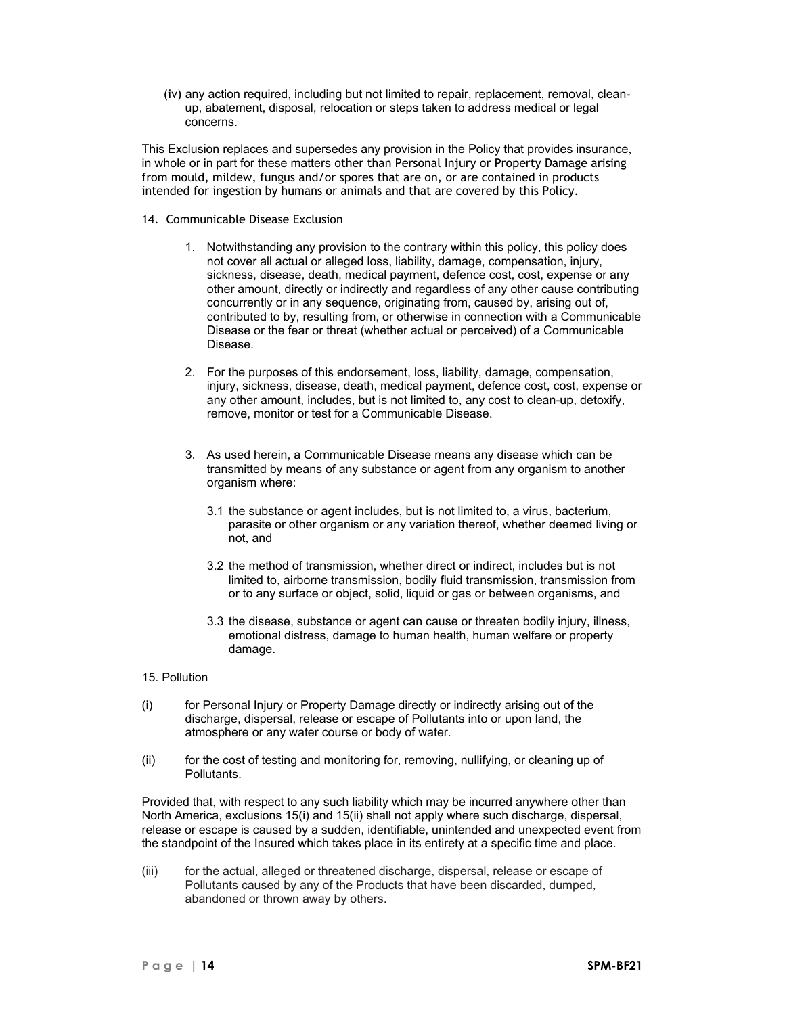(iv) any action required, including but not limited to repair, replacement, removal, cleanup, abatement, disposal, relocation or steps taken to address medical or legal concerns.

This Exclusion replaces and supersedes any provision in the Policy that provides insurance, in whole or in part for these matters other than Personal Injury or Property Damage arising from mould, mildew, fungus and/or spores that are on, or are contained in products intended for ingestion by humans or animals and that are covered by this Policy.

- 14. Communicable Disease Exclusion
	- 1. Notwithstanding any provision to the contrary within this policy, this policy does not cover all actual or alleged loss, liability, damage, compensation, injury, sickness, disease, death, medical payment, defence cost, cost, expense or any other amount, directly or indirectly and regardless of any other cause contributing concurrently or in any sequence, originating from, caused by, arising out of, contributed to by, resulting from, or otherwise in connection with a Communicable Disease or the fear or threat (whether actual or perceived) of a Communicable Disease.
	- 2. For the purposes of this endorsement, loss, liability, damage, compensation, injury, sickness, disease, death, medical payment, defence cost, cost, expense or any other amount, includes, but is not limited to, any cost to clean-up, detoxify, remove, monitor or test for a Communicable Disease.
	- 3. As used herein, a Communicable Disease means any disease which can be transmitted by means of any substance or agent from any organism to another organism where:
		- 3.1 the substance or agent includes, but is not limited to, a virus, bacterium, parasite or other organism or any variation thereof, whether deemed living or not, and
		- 3.2 the method of transmission, whether direct or indirect, includes but is not limited to, airborne transmission, bodily fluid transmission, transmission from or to any surface or object, solid, liquid or gas or between organisms, and
		- 3.3 the disease, substance or agent can cause or threaten bodily injury, illness, emotional distress, damage to human health, human welfare or property damage.

# 15. Pollution

- (i) for Personal Injury or Property Damage directly or indirectly arising out of the discharge, dispersal, release or escape of Pollutants into or upon land, the atmosphere or any water course or body of water.
- (ii) for the cost of testing and monitoring for, removing, nullifying, or cleaning up of Pollutants.

Provided that, with respect to any such liability which may be incurred anywhere other than North America, exclusions 15(i) and 15(ii) shall not apply where such discharge, dispersal, release or escape is caused by a sudden, identifiable, unintended and unexpected event from the standpoint of the Insured which takes place in its entirety at a specific time and place.

(iii) for the actual, alleged or threatened discharge, dispersal, release or escape of Pollutants caused by any of the Products that have been discarded, dumped, abandoned or thrown away by others.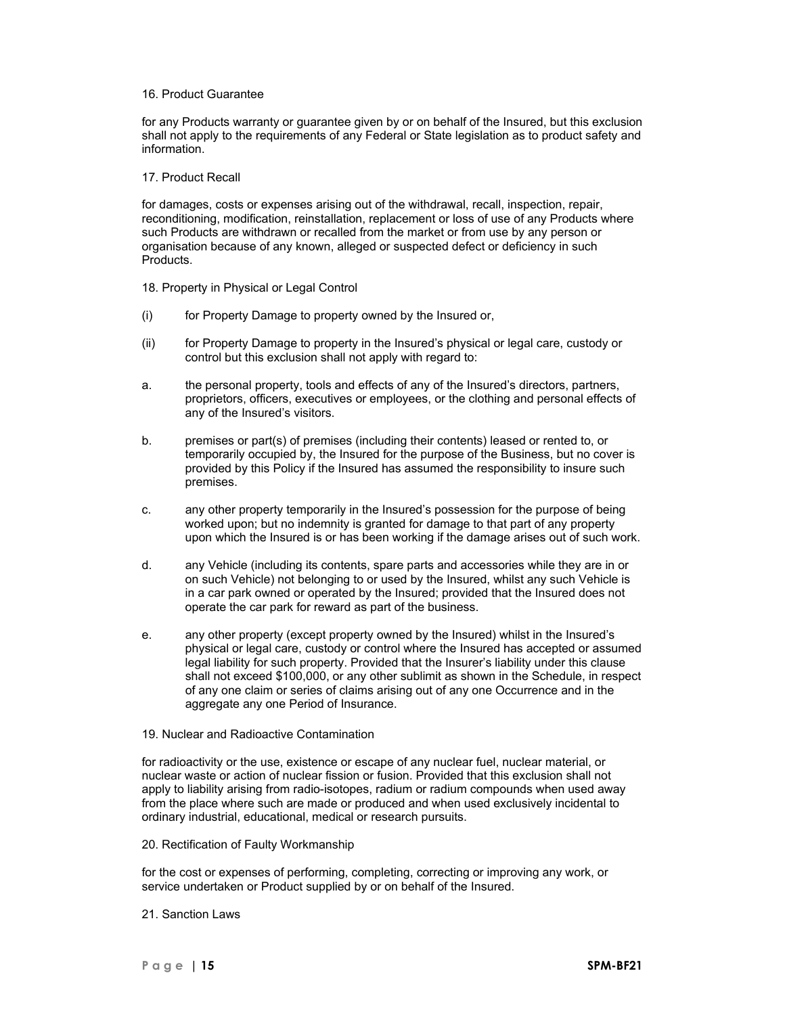#### 16. Product Guarantee

for any Products warranty or guarantee given by or on behalf of the Insured, but this exclusion shall not apply to the requirements of any Federal or State legislation as to product safety and information.

### 17. Product Recall

for damages, costs or expenses arising out of the withdrawal, recall, inspection, repair, reconditioning, modification, reinstallation, replacement or loss of use of any Products where such Products are withdrawn or recalled from the market or from use by any person or organisation because of any known, alleged or suspected defect or deficiency in such Products.

- 18. Property in Physical or Legal Control
- (i) for Property Damage to property owned by the Insured or,
- (ii) for Property Damage to property in the Insured's physical or legal care, custody or control but this exclusion shall not apply with regard to:
- a. the personal property, tools and effects of any of the Insured's directors, partners, proprietors, officers, executives or employees, or the clothing and personal effects of any of the Insured's visitors.
- b. premises or part(s) of premises (including their contents) leased or rented to, or temporarily occupied by, the Insured for the purpose of the Business, but no cover is provided by this Policy if the Insured has assumed the responsibility to insure such premises.
- c. any other property temporarily in the Insured's possession for the purpose of being worked upon; but no indemnity is granted for damage to that part of any property upon which the Insured is or has been working if the damage arises out of such work.
- d. any Vehicle (including its contents, spare parts and accessories while they are in or on such Vehicle) not belonging to or used by the Insured, whilst any such Vehicle is in a car park owned or operated by the Insured; provided that the Insured does not operate the car park for reward as part of the business.
- e. any other property (except property owned by the Insured) whilst in the Insured's physical or legal care, custody or control where the Insured has accepted or assumed legal liability for such property. Provided that the Insurer's liability under this clause shall not exceed \$100,000, or any other sublimit as shown in the Schedule, in respect of any one claim or series of claims arising out of any one Occurrence and in the aggregate any one Period of Insurance.
- 19. Nuclear and Radioactive Contamination

for radioactivity or the use, existence or escape of any nuclear fuel, nuclear material, or nuclear waste or action of nuclear fission or fusion. Provided that this exclusion shall not apply to liability arising from radio-isotopes, radium or radium compounds when used away from the place where such are made or produced and when used exclusively incidental to ordinary industrial, educational, medical or research pursuits.

20. Rectification of Faulty Workmanship

for the cost or expenses of performing, completing, correcting or improving any work, or service undertaken or Product supplied by or on behalf of the Insured.

21. Sanction Laws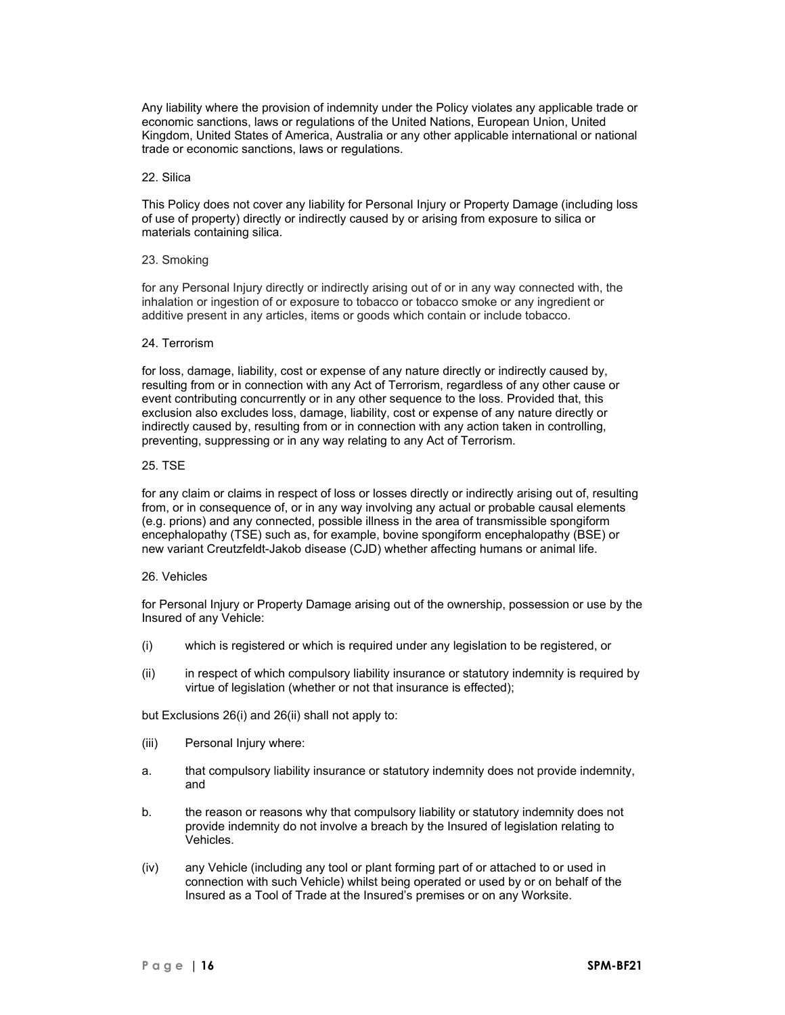Any liability where the provision of indemnity under the Policy violates any applicable trade or economic sanctions, laws or regulations of the United Nations, European Union, United Kingdom, United States of America, Australia or any other applicable international or national trade or economic sanctions, laws or regulations.

### 22. Silica

This Policy does not cover any liability for Personal Injury or Property Damage (including loss of use of property) directly or indirectly caused by or arising from exposure to silica or materials containing silica.

### 23. Smoking

for any Personal Injury directly or indirectly arising out of or in any way connected with, the inhalation or ingestion of or exposure to tobacco or tobacco smoke or any ingredient or additive present in any articles, items or goods which contain or include tobacco.

#### 24. Terrorism

for loss, damage, liability, cost or expense of any nature directly or indirectly caused by, resulting from or in connection with any Act of Terrorism, regardless of any other cause or event contributing concurrently or in any other sequence to the loss. Provided that, this exclusion also excludes loss, damage, liability, cost or expense of any nature directly or indirectly caused by, resulting from or in connection with any action taken in controlling, preventing, suppressing or in any way relating to any Act of Terrorism.

#### 25. TSE

for any claim or claims in respect of loss or losses directly or indirectly arising out of, resulting from, or in consequence of, or in any way involving any actual or probable causal elements (e.g. prions) and any connected, possible illness in the area of transmissible spongiform encephalopathy (TSE) such as, for example, bovine spongiform encephalopathy (BSE) or new variant Creutzfeldt-Jakob disease (CJD) whether affecting humans or animal life.

### 26. Vehicles

for Personal Injury or Property Damage arising out of the ownership, possession or use by the Insured of any Vehicle:

- (i) which is registered or which is required under any legislation to be registered, or
- (ii) in respect of which compulsory liability insurance or statutory indemnity is required by virtue of legislation (whether or not that insurance is effected);

but Exclusions 26(i) and 26(ii) shall not apply to:

- (iii) Personal Injury where:
- a. that compulsory liability insurance or statutory indemnity does not provide indemnity, and
- b. the reason or reasons why that compulsory liability or statutory indemnity does not provide indemnity do not involve a breach by the Insured of legislation relating to Vehicles.
- (iv) any Vehicle (including any tool or plant forming part of or attached to or used in connection with such Vehicle) whilst being operated or used by or on behalf of the Insured as a Tool of Trade at the Insured's premises or on any Worksite.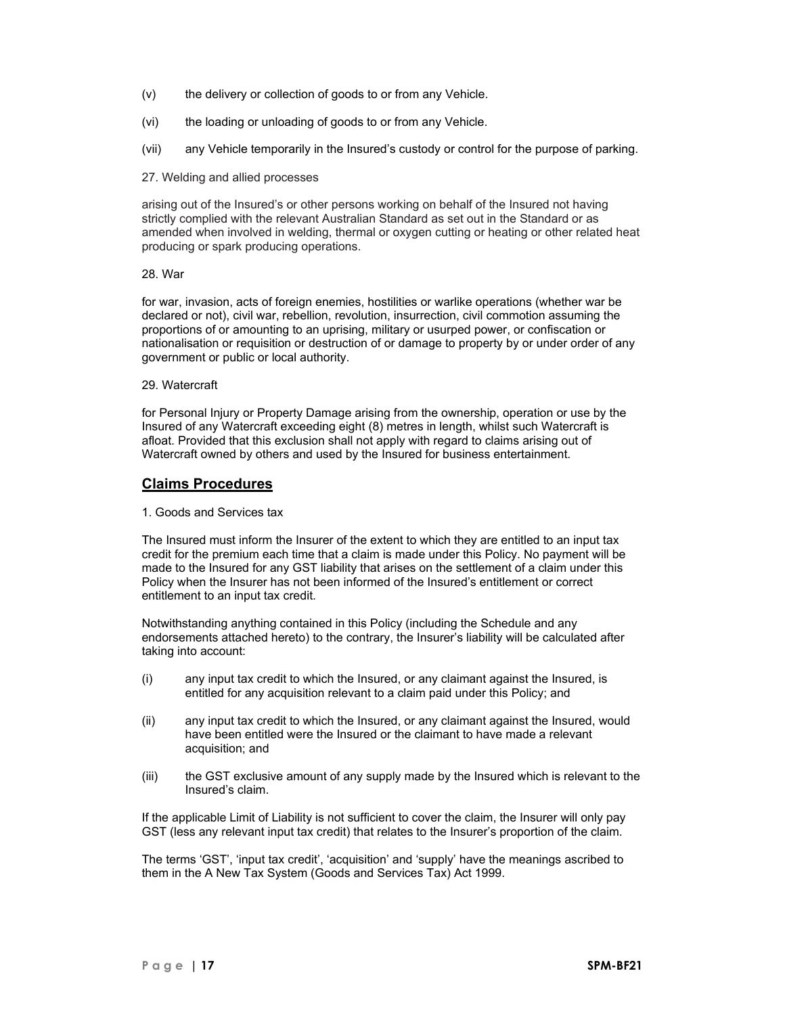- (v) the delivery or collection of goods to or from any Vehicle.
- (vi) the loading or unloading of goods to or from any Vehicle.
- (vii) any Vehicle temporarily in the Insured's custody or control for the purpose of parking.
- 27. Welding and allied processes

arising out of the Insured's or other persons working on behalf of the Insured not having strictly complied with the relevant Australian Standard as set out in the Standard or as amended when involved in welding, thermal or oxygen cutting or heating or other related heat producing or spark producing operations.

### 28. War

for war, invasion, acts of foreign enemies, hostilities or warlike operations (whether war be declared or not), civil war, rebellion, revolution, insurrection, civil commotion assuming the proportions of or amounting to an uprising, military or usurped power, or confiscation or nationalisation or requisition or destruction of or damage to property by or under order of any government or public or local authority.

29. Watercraft

for Personal Injury or Property Damage arising from the ownership, operation or use by the Insured of any Watercraft exceeding eight (8) metres in length, whilst such Watercraft is afloat. Provided that this exclusion shall not apply with regard to claims arising out of Watercraft owned by others and used by the Insured for business entertainment.

# **Claims Procedures**

1. Goods and Services tax

The Insured must inform the Insurer of the extent to which they are entitled to an input tax credit for the premium each time that a claim is made under this Policy. No payment will be made to the Insured for any GST liability that arises on the settlement of a claim under this Policy when the Insurer has not been informed of the Insured's entitlement or correct entitlement to an input tax credit.

Notwithstanding anything contained in this Policy (including the Schedule and any endorsements attached hereto) to the contrary, the Insurer's liability will be calculated after taking into account:

- (i) any input tax credit to which the Insured, or any claimant against the Insured, is entitled for any acquisition relevant to a claim paid under this Policy; and
- (ii) any input tax credit to which the Insured, or any claimant against the Insured, would have been entitled were the Insured or the claimant to have made a relevant acquisition; and
- (iii) the GST exclusive amount of any supply made by the Insured which is relevant to the Insured's claim.

If the applicable Limit of Liability is not sufficient to cover the claim, the Insurer will only pay GST (less any relevant input tax credit) that relates to the Insurer's proportion of the claim.

The terms 'GST', 'input tax credit', 'acquisition' and 'supply' have the meanings ascribed to them in the A New Tax System (Goods and Services Tax) Act 1999.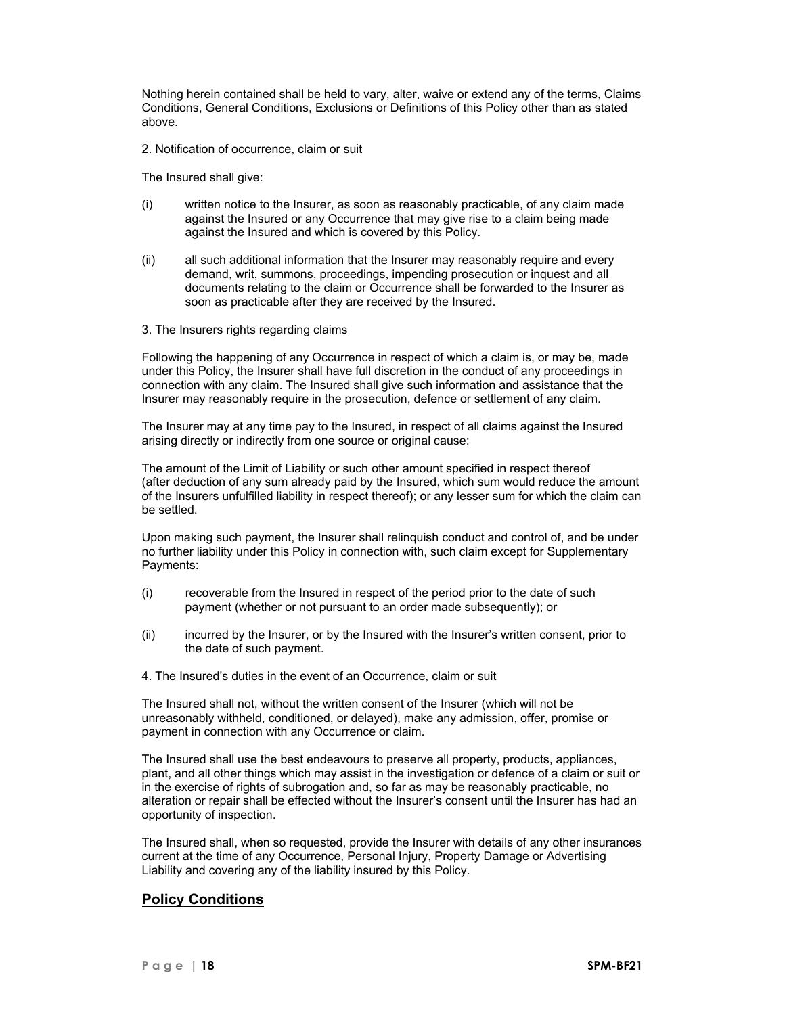Nothing herein contained shall be held to vary, alter, waive or extend any of the terms, Claims Conditions, General Conditions, Exclusions or Definitions of this Policy other than as stated above.

2. Notification of occurrence, claim or suit

The Insured shall give:

- (i) written notice to the Insurer, as soon as reasonably practicable, of any claim made against the Insured or any Occurrence that may give rise to a claim being made against the Insured and which is covered by this Policy.
- (ii) all such additional information that the Insurer may reasonably require and every demand, writ, summons, proceedings, impending prosecution or inquest and all documents relating to the claim or Occurrence shall be forwarded to the Insurer as soon as practicable after they are received by the Insured.
- 3. The Insurers rights regarding claims

Following the happening of any Occurrence in respect of which a claim is, or may be, made under this Policy, the Insurer shall have full discretion in the conduct of any proceedings in connection with any claim. The Insured shall give such information and assistance that the Insurer may reasonably require in the prosecution, defence or settlement of any claim.

The Insurer may at any time pay to the Insured, in respect of all claims against the Insured arising directly or indirectly from one source or original cause:

The amount of the Limit of Liability or such other amount specified in respect thereof (after deduction of any sum already paid by the Insured, which sum would reduce the amount of the Insurers unfulfilled liability in respect thereof); or any lesser sum for which the claim can be settled.

Upon making such payment, the Insurer shall relinquish conduct and control of, and be under no further liability under this Policy in connection with, such claim except for Supplementary Payments:

- (i) recoverable from the Insured in respect of the period prior to the date of such payment (whether or not pursuant to an order made subsequently); or
- (ii) incurred by the Insurer, or by the Insured with the Insurer's written consent, prior to the date of such payment.
- 4. The Insured's duties in the event of an Occurrence, claim or suit

The Insured shall not, without the written consent of the Insurer (which will not be unreasonably withheld, conditioned, or delayed), make any admission, offer, promise or payment in connection with any Occurrence or claim.

The Insured shall use the best endeavours to preserve all property, products, appliances, plant, and all other things which may assist in the investigation or defence of a claim or suit or in the exercise of rights of subrogation and, so far as may be reasonably practicable, no alteration or repair shall be effected without the Insurer's consent until the Insurer has had an opportunity of inspection.

The Insured shall, when so requested, provide the Insurer with details of any other insurances current at the time of any Occurrence, Personal Injury, Property Damage or Advertising Liability and covering any of the liability insured by this Policy.

# **Policy Conditions**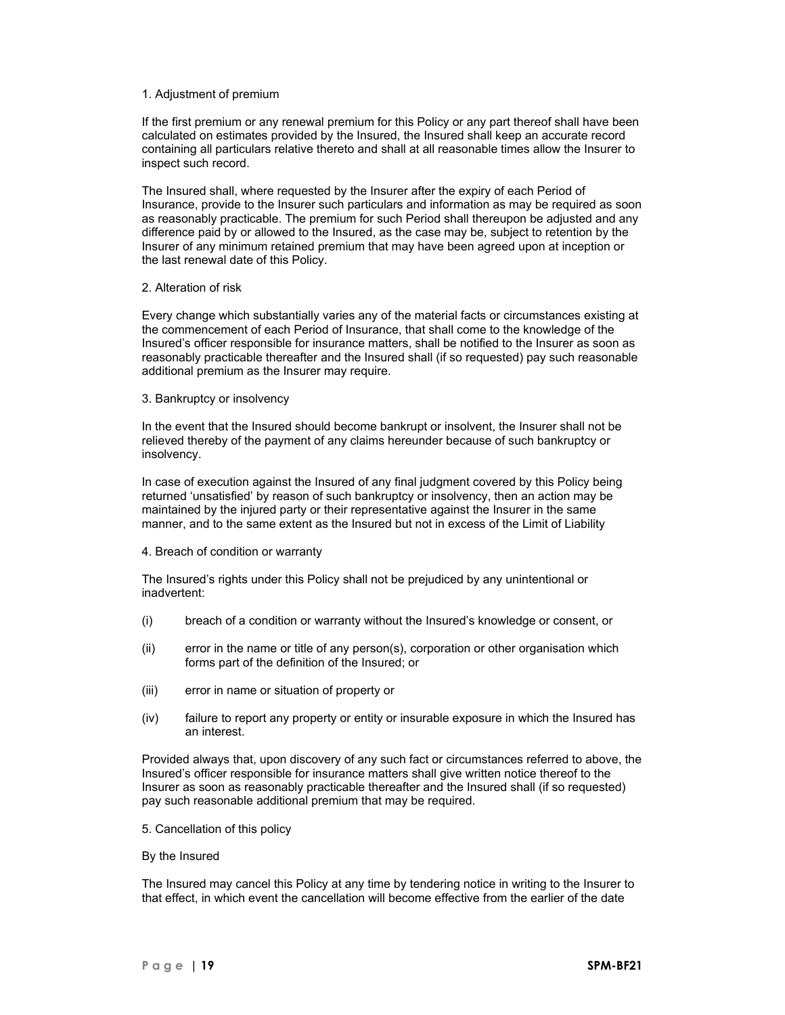#### 1. Adjustment of premium

If the first premium or any renewal premium for this Policy or any part thereof shall have been calculated on estimates provided by the Insured, the Insured shall keep an accurate record containing all particulars relative thereto and shall at all reasonable times allow the Insurer to inspect such record.

The Insured shall, where requested by the Insurer after the expiry of each Period of Insurance, provide to the Insurer such particulars and information as may be required as soon as reasonably practicable. The premium for such Period shall thereupon be adjusted and any difference paid by or allowed to the Insured, as the case may be, subject to retention by the Insurer of any minimum retained premium that may have been agreed upon at inception or the last renewal date of this Policy.

### 2. Alteration of risk

Every change which substantially varies any of the material facts or circumstances existing at the commencement of each Period of Insurance, that shall come to the knowledge of the Insured's officer responsible for insurance matters, shall be notified to the Insurer as soon as reasonably practicable thereafter and the Insured shall (if so requested) pay such reasonable additional premium as the Insurer may require.

#### 3. Bankruptcy or insolvency

In the event that the Insured should become bankrupt or insolvent, the Insurer shall not be relieved thereby of the payment of any claims hereunder because of such bankruptcy or insolvency.

In case of execution against the Insured of any final judgment covered by this Policy being returned 'unsatisfied' by reason of such bankruptcy or insolvency, then an action may be maintained by the injured party or their representative against the Insurer in the same manner, and to the same extent as the Insured but not in excess of the Limit of Liability

### 4. Breach of condition or warranty

The Insured's rights under this Policy shall not be prejudiced by any unintentional or inadvertent:

- (i) breach of a condition or warranty without the Insured's knowledge or consent, or
- (ii) error in the name or title of any person(s), corporation or other organisation which forms part of the definition of the Insured; or
- (iii) error in name or situation of property or
- (iv) failure to report any property or entity or insurable exposure in which the Insured has an interest.

Provided always that, upon discovery of any such fact or circumstances referred to above, the Insured's officer responsible for insurance matters shall give written notice thereof to the Insurer as soon as reasonably practicable thereafter and the Insured shall (if so requested) pay such reasonable additional premium that may be required.

5. Cancellation of this policy

### By the Insured

The Insured may cancel this Policy at any time by tendering notice in writing to the Insurer to that effect, in which event the cancellation will become effective from the earlier of the date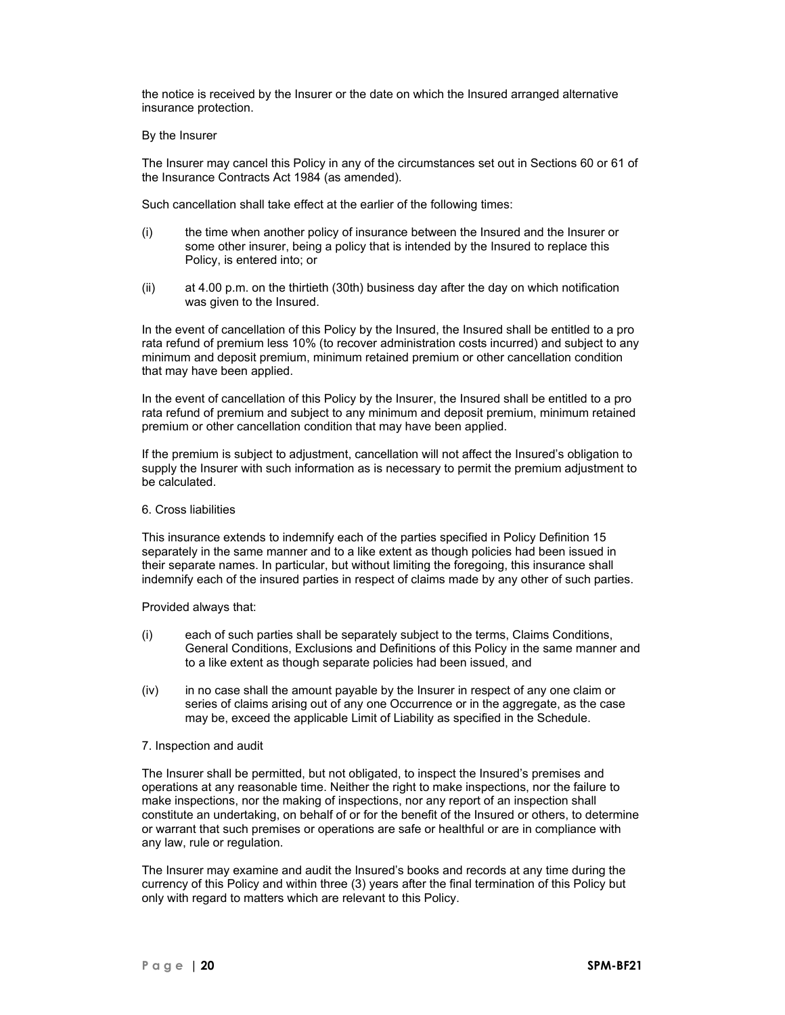the notice is received by the Insurer or the date on which the Insured arranged alternative insurance protection.

#### By the Insurer

The Insurer may cancel this Policy in any of the circumstances set out in Sections 60 or 61 of the Insurance Contracts Act 1984 (as amended).

Such cancellation shall take effect at the earlier of the following times:

- (i) the time when another policy of insurance between the Insured and the Insurer or some other insurer, being a policy that is intended by the Insured to replace this Policy, is entered into; or
- (ii) at 4.00 p.m. on the thirtieth (30th) business day after the day on which notification was given to the Insured.

In the event of cancellation of this Policy by the Insured, the Insured shall be entitled to a pro rata refund of premium less 10% (to recover administration costs incurred) and subject to any minimum and deposit premium, minimum retained premium or other cancellation condition that may have been applied.

In the event of cancellation of this Policy by the Insurer, the Insured shall be entitled to a pro rata refund of premium and subject to any minimum and deposit premium, minimum retained premium or other cancellation condition that may have been applied.

If the premium is subject to adjustment, cancellation will not affect the Insured's obligation to supply the Insurer with such information as is necessary to permit the premium adjustment to be calculated.

#### 6. Cross liabilities

This insurance extends to indemnify each of the parties specified in Policy Definition 15 separately in the same manner and to a like extent as though policies had been issued in their separate names. In particular, but without limiting the foregoing, this insurance shall indemnify each of the insured parties in respect of claims made by any other of such parties.

Provided always that:

- (i) each of such parties shall be separately subject to the terms, Claims Conditions, General Conditions, Exclusions and Definitions of this Policy in the same manner and to a like extent as though separate policies had been issued, and
- (iv) in no case shall the amount payable by the Insurer in respect of any one claim or series of claims arising out of any one Occurrence or in the aggregate, as the case may be, exceed the applicable Limit of Liability as specified in the Schedule.
- 7. Inspection and audit

The Insurer shall be permitted, but not obligated, to inspect the Insured's premises and operations at any reasonable time. Neither the right to make inspections, nor the failure to make inspections, nor the making of inspections, nor any report of an inspection shall constitute an undertaking, on behalf of or for the benefit of the Insured or others, to determine or warrant that such premises or operations are safe or healthful or are in compliance with any law, rule or regulation.

The Insurer may examine and audit the Insured's books and records at any time during the currency of this Policy and within three (3) years after the final termination of this Policy but only with regard to matters which are relevant to this Policy.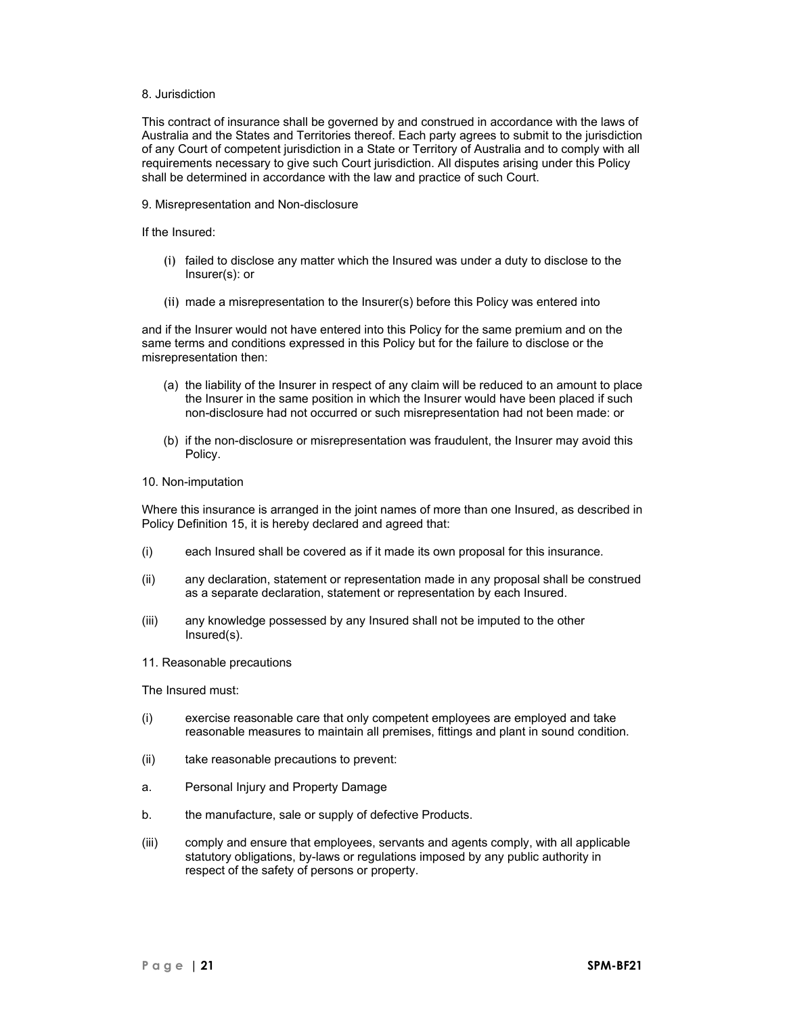### 8. Jurisdiction

This contract of insurance shall be governed by and construed in accordance with the laws of Australia and the States and Territories thereof. Each party agrees to submit to the jurisdiction of any Court of competent jurisdiction in a State or Territory of Australia and to comply with all requirements necessary to give such Court jurisdiction. All disputes arising under this Policy shall be determined in accordance with the law and practice of such Court.

9. Misrepresentation and Non-disclosure

If the Insured:

- (i) failed to disclose any matter which the Insured was under a duty to disclose to the Insurer(s): or
- (ii) made a misrepresentation to the Insurer(s) before this Policy was entered into

and if the Insurer would not have entered into this Policy for the same premium and on the same terms and conditions expressed in this Policy but for the failure to disclose or the misrepresentation then:

- (a) the liability of the Insurer in respect of any claim will be reduced to an amount to place the Insurer in the same position in which the Insurer would have been placed if such non-disclosure had not occurred or such misrepresentation had not been made: or
- (b) if the non-disclosure or misrepresentation was fraudulent, the Insurer may avoid this Policy.
- 10. Non-imputation

Where this insurance is arranged in the joint names of more than one Insured, as described in Policy Definition 15, it is hereby declared and agreed that:

- (i) each Insured shall be covered as if it made its own proposal for this insurance.
- (ii) any declaration, statement or representation made in any proposal shall be construed as a separate declaration, statement or representation by each Insured.
- (iii) any knowledge possessed by any Insured shall not be imputed to the other Insured(s).
- 11. Reasonable precautions

The Insured must:

- (i) exercise reasonable care that only competent employees are employed and take reasonable measures to maintain all premises, fittings and plant in sound condition.
- (ii) take reasonable precautions to prevent:
- a. Personal Injury and Property Damage
- b. the manufacture, sale or supply of defective Products.
- (iii) comply and ensure that employees, servants and agents comply, with all applicable statutory obligations, by-laws or regulations imposed by any public authority in respect of the safety of persons or property.